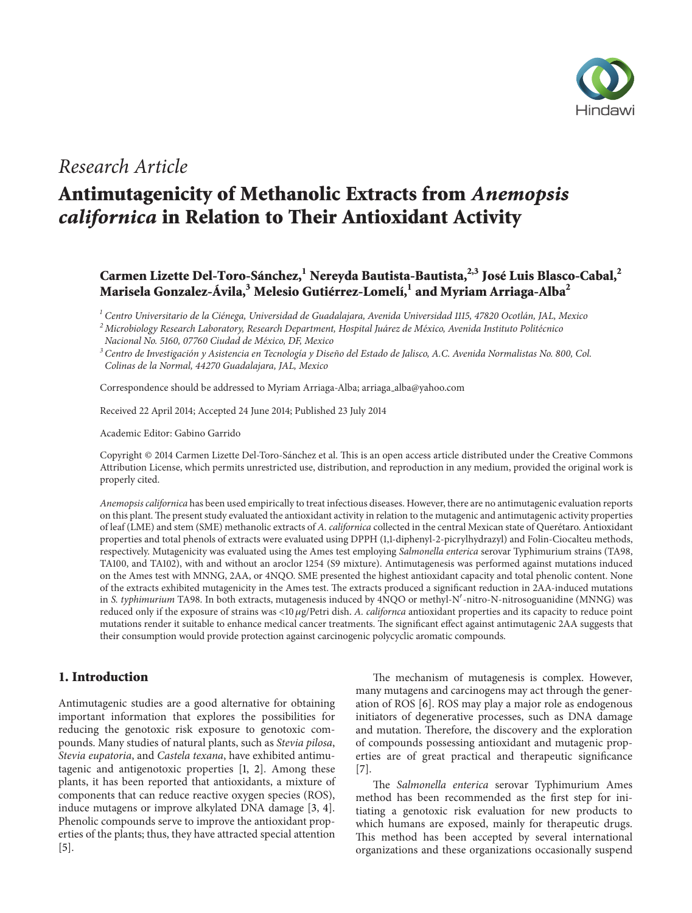

## *Research Article*

# **Antimutagenicity of Methanolic Extracts from** *Anemopsis californica* **in Relation to Their Antioxidant Activity**

## **Carmen Lizette Del-Toro-Sánchez,1 Nereyda Bautista-Bautista,2,3 José Luis Blasco-Cabal,2 Marisela Gonzalez-Ávila,<sup>3</sup> Melesio Gutiérrez-Lomelí,<sup>1</sup> and Myriam Arriaga-Alba<sup>2</sup>**

*<sup>1</sup> Centro Universitario de la Cienega, Universidad de Guadalajara, Avenida Universidad 1115, 47820 Ocotl ´ an, JAL, Mexico ´*

*<sup>2</sup> Microbiology Research Laboratory, Research Department, Hospital Juarez de M ´ exico, Avenida Instituto Polit ´ ecnico ´ Nacional No. 5160, 07760 Ciudad de Mexico, DF, Mexico ´*

<sup>3</sup> Centro de Investigación y Asistencia en Tecnología y Diseño del Estado de Jalisco, A.C. Avenida Normalistas No. 800, Col. *Colinas de la Normal, 44270 Guadalajara, JAL, Mexico*

Correspondence should be addressed to Myriam Arriaga-Alba; arriaga alba@yahoo.com

Received 22 April 2014; Accepted 24 June 2014; Published 23 July 2014

Academic Editor: Gabino Garrido

Copyright © 2014 Carmen Lizette Del-Toro-Sanchez et al. This is an open access article distributed under the Creative Commons ´ Attribution License, which permits unrestricted use, distribution, and reproduction in any medium, provided the original work is properly cited.

*Anemopsis californica* has been used empirically to treat infectious diseases. However, there are no antimutagenic evaluation reports on this plant. The present study evaluated the antioxidant activity in relation to the mutagenic and antimutagenic activity properties of leaf (LME) and stem (SME) methanolic extracts of *A. californica* collected in the central Mexican state of Queretaro. Antioxidant ´ properties and total phenols of extracts were evaluated using DPPH (1,1-diphenyl-2-picrylhydrazyl) and Folin-Ciocalteu methods, respectively. Mutagenicity was evaluated using the Ames test employing *Salmonella enterica* serovar Typhimurium strains (TA98, TA100, and TA102), with and without an aroclor 1254 (S9 mixture). Antimutagenesis was performed against mutations induced on the Ames test with MNNG, 2AA, or 4NQO. SME presented the highest antioxidant capacity and total phenolic content. None of the extracts exhibited mutagenicity in the Ames test. The extracts produced a significant reduction in 2AA-induced mutations in *S. typhimurium* TA98. In both extracts, mutagenesis induced by 4NQO or methyl-N'-nitro-N-nitrosoguanidine (MNNG) was reduced only if the exposure of strains was <10 g/Petri dish. *A. californca* antioxidant properties and its capacity to reduce point mutations render it suitable to enhance medical cancer treatments. The significant effect against antimutagenic 2AA suggests that their consumption would provide protection against carcinogenic polycyclic aromatic compounds.

## **1. Introduction**

Antimutagenic studies are a good alternative for obtaining important information that explores the possibilities for reducing the genotoxic risk exposure to genotoxic compounds. Many studies of natural plants, such as *Stevia pilosa*, *Stevia eupatoria*, and *Castela texana*, have exhibited antimutagenic and antigenotoxic properties [1, 2]. Among these plants, it has been reported that antioxidants, a mixture of components that can reduce reactive oxygen species (ROS), induce mutagens or improve alkylated DNA damage [3, 4]. Phenolic compounds serve to improve the antioxidant properties of the plants; thus, they have attracted special attention [5].

The mechanism of mutagenesis is complex. However, many mutagens and carcinogens may act through the generation of ROS [6]. ROS may play a major role as endogenous initiators of degenerative processes, such as DNA damage and mutation. Therefore, the discovery and the exploration of compounds possessing antioxidant and mutagenic properties are of great practical and therapeutic significance [7].

The *Salmonella enterica* serovar Typhimurium Ames method has been recommended as the first step for initiating a genotoxic risk evaluation for new products to which humans are exposed, mainly for therapeutic drugs. This method has been accepted by several international organizations and these organizations occasionally suspend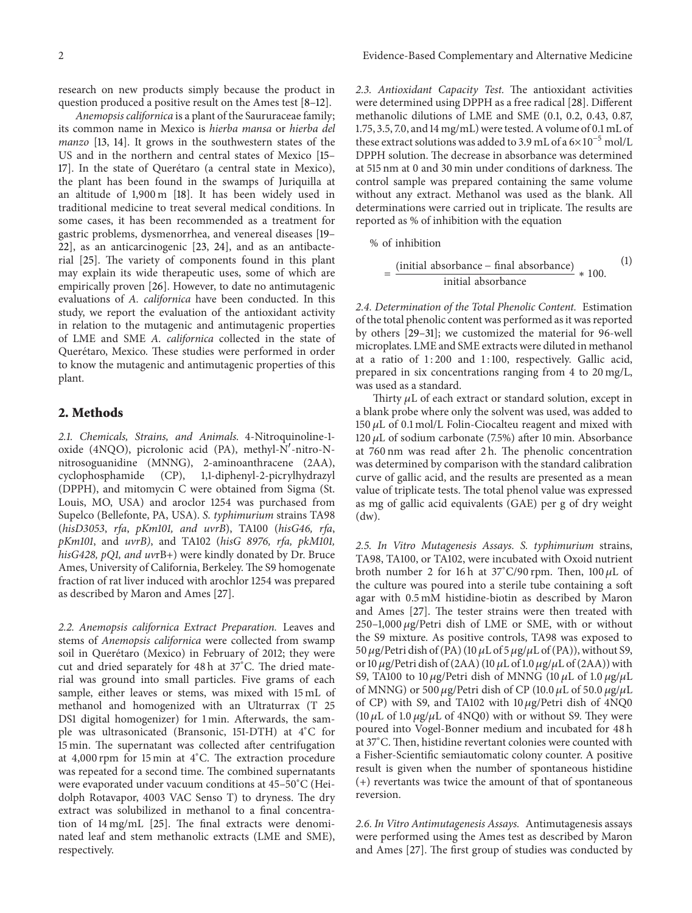research on new products simply because the product in question produced a positive result on the Ames test [8–12].

*Anemopsis californica* is a plant of the Saururaceae family; its common name in Mexico is *hierba mansa* or *hierba del manzo* [13, 14]. It grows in the southwestern states of the US and in the northern and central states of Mexico [15– 17]. In the state of Querétaro (a central state in Mexico), the plant has been found in the swamps of Juriquilla at an altitude of 1,900 m [18]. It has been widely used in traditional medicine to treat several medical conditions. In some cases, it has been recommended as a treatment for gastric problems, dysmenorrhea, and venereal diseases [19– 22], as an anticarcinogenic [23, 24], and as an antibacterial [25]. The variety of components found in this plant may explain its wide therapeutic uses, some of which are empirically proven [26]. However, to date no antimutagenic evaluations of *A. californica* have been conducted. In this study, we report the evaluation of the antioxidant activity in relation to the mutagenic and antimutagenic properties of LME and SME *A. californica* collected in the state of Querétaro, Mexico. These studies were performed in order to know the mutagenic and antimutagenic properties of this plant.

### **2. Methods**

*2.1. Chemicals, Strains, and Animals.* 4-Nitroquinoline-1 oxide (4NQO), picrolonic acid (PA), methyl-N'-nitro-Nnitrosoguanidine (MNNG), 2-aminoanthracene (2AA), cyclophosphamide (CP), 1,1-diphenyl-2-picrylhydrazyl (DPPH), and mitomycin C were obtained from Sigma (St. Louis, MO, USA) and aroclor 1254 was purchased from Supelco (Bellefonte, PA, USA). *S. typhimurium* strains TA98 (*hisD3053*, *rfa*, *pKm101, and uvrB*), TA100 (*hisG46, rfa*, *pKm101*, and *uvrB)*, and TA102 (*hisG 8976, rfa, pkM101, hisG428, pQ1, and uv*rB+) were kindly donated by Dr. Bruce Ames, University of California, Berkeley. The S9 homogenate fraction of rat liver induced with arochlor 1254 was prepared as described by Maron and Ames [27].

*2.2. Anemopsis californica Extract Preparation.* Leaves and stems of *Anemopsis californica* were collected from swamp soil in Querétaro (Mexico) in February of 2012; they were cut and dried separately for 48 h at 37<sup>∘</sup> C. The dried material was ground into small particles. Five grams of each sample, either leaves or stems, was mixed with 15 mL of methanol and homogenized with an Ultraturrax (T 25 DS1 digital homogenizer) for 1 min. Afterwards, the sample was ultrasonicated (Bransonic, 151-DTH) at 4<sup>∘</sup> C for 15 min. The supernatant was collected after centrifugation at 4,000 rpm for 15 min at 4<sup>∘</sup> C. The extraction procedure was repeated for a second time. The combined supernatants were evaporated under vacuum conditions at 45–50<sup>∘</sup> C (Heidolph Rotavapor, 4003 VAC Senso T) to dryness. The dry extract was solubilized in methanol to a final concentration of 14 mg/mL [25]. The final extracts were denominated leaf and stem methanolic extracts (LME and SME), respectively.

*2.3. Antioxidant Capacity Test.* The antioxidant activities were determined using DPPH as a free radical [28]. Different methanolic dilutions of LME and SME (0.1, 0.2, 0.43, 0.87, 1.75, 3.5, 7.0, and 14 mg/mL) were tested. A volume of 0.1 mL of these extract solutions was added to 3.9 mL of a  $6\times10^{-5}$  mol/L DPPH solution. The decrease in absorbance was determined at 515 nm at 0 and 30 min under conditions of darkness. The control sample was prepared containing the same volume without any extract. Methanol was used as the blank. All determinations were carried out in triplicate. The results are reported as % of inhibition with the equation

% of inhibition

$$
= \frac{\text{(initial absorbance - final absorbance)}}{\text{initial absorbance}} * 100.
$$

 $(1)$ 

*2.4. Determination of the Total Phenolic Content.* Estimation of the total phenolic content was performed as it was reported by others [29–31]; we customized the material for 96-well microplates. LME and SME extracts were diluted in methanol at a ratio of 1:200 and 1:100, respectively. Gallic acid, prepared in six concentrations ranging from 4 to 20 mg/L, was used as a standard.

Thirty  $\mu$ L of each extract or standard solution, except in a blank probe where only the solvent was used, was added to 150  $\mu$ L of 0.1 mol/L Folin-Ciocalteu reagent and mixed with 120  $\mu$ L of sodium carbonate (7.5%) after 10 min. Absorbance at 760 nm was read after 2 h. The phenolic concentration was determined by comparison with the standard calibration curve of gallic acid, and the results are presented as a mean value of triplicate tests. The total phenol value was expressed as mg of gallic acid equivalents (GAE) per g of dry weight (dw).

*2.5. In Vitro Mutagenesis Assays. S. typhimurium* strains, TA98, TA100, or TA102, were incubated with Oxoid nutrient broth number 2 for 16 h at  $37^{\circ}$ C/90 rpm. Then, 100 µL of the culture was poured into a sterile tube containing a soft agar with 0.5 mM histidine-biotin as described by Maron and Ames [27]. The tester strains were then treated with  $250-1,000 \mu$ g/Petri dish of LME or SME, with or without the S9 mixture. As positive controls, TA98 was exposed to 50  $\mu$ g/Petri dish of (PA) (10  $\mu$ L of 5  $\mu$ g/ $\mu$ L of (PA)), without S9, or 10  $\mu$ g/Petri dish of (2AA) (10  $\mu$ L of 1.0  $\mu$ g/ $\mu$ L of (2AA)) with S9, TA100 to 10  $\mu$ g/Petri dish of MNNG (10  $\mu$ L of 1.0  $\mu$ g/ $\mu$ L of MNNG) or 500  $\mu$ g/Petri dish of CP (10.0  $\mu$ L of 50.0  $\mu$ g/ $\mu$ L of CP) with S9, and TA102 with  $10 \mu$ g/Petri dish of  $4NQ0$ (10  $\mu$ L of 1.0  $\mu$ g/ $\mu$ L of 4NQ0) with or without S9. They were poured into Vogel-Bonner medium and incubated for 48 h at 37<sup>∘</sup> C. Then, histidine revertant colonies were counted with a Fisher-Scientific semiautomatic colony counter. A positive result is given when the number of spontaneous histidine (+) revertants was twice the amount of that of spontaneous reversion.

*2.6. In Vitro Antimutagenesis Assays.* Antimutagenesis assays were performed using the Ames test as described by Maron and Ames [27]. The first group of studies was conducted by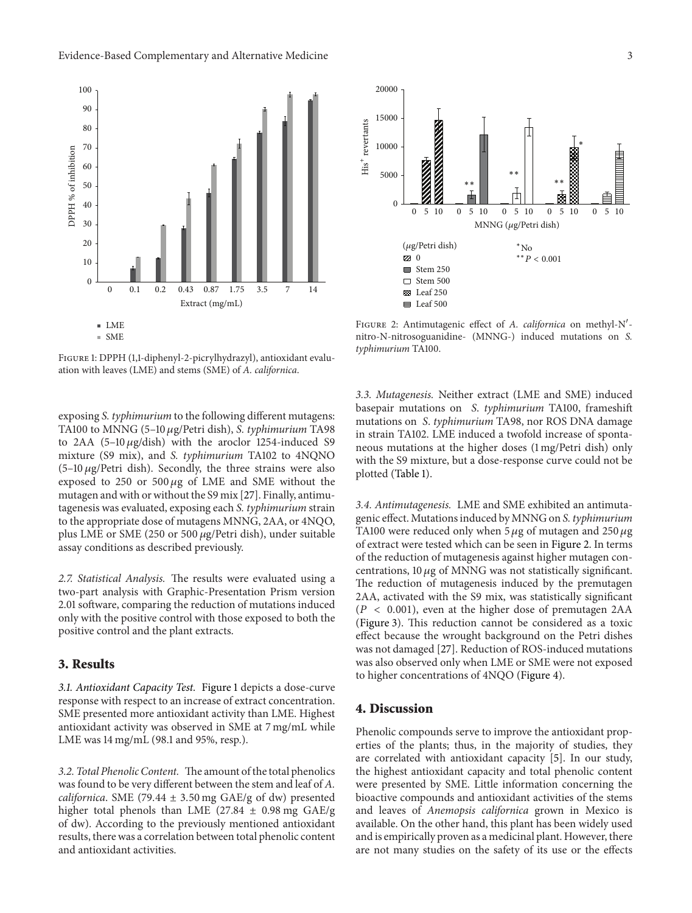

Figure 1: DPPH (1,1-diphenyl-2-picrylhydrazyl), antioxidant evaluation with leaves (LME) and stems (SME) of *A. californica*.

exposing *S. typhimurium* to the following different mutagens: TA100 to MNNG (5-10 µg/Petri dish), *S. typhimurium* TA98 to 2AA  $(5-10 \mu g/dish)$  with the aroclor 1254-induced S9 mixture (S9 mix), and *S. typhimurium* TA102 to 4NQNO  $(5-10 \mu g/P$ etri dish). Secondly, the three strains were also exposed to 250 or 500  $\mu$ g of LME and SME without the mutagen and with or without the S9 mix [27]. Finally, antimutagenesis was evaluated, exposing each *S. typhimurium* strain to the appropriate dose of mutagens MNNG, 2AA, or 4NQO, plus LME or SME (250 or 500  $\mu$ g/Petri dish), under suitable assay conditions as described previously.

*2.7. Statistical Analysis.* The results were evaluated using a two-part analysis with Graphic-Presentation Prism version 2.01 software, comparing the reduction of mutations induced only with the positive control with those exposed to both the positive control and the plant extracts.

## **3. Results**

*3.1. Antioxidant Capacity Test.* Figure 1 depicts a dose-curve response with respect to an increase of extract concentration. SME presented more antioxidant activity than LME. Highest antioxidant activity was observed in SME at 7 mg/mL while LME was 14 mg/mL (98.1 and 95%, resp.).

*3.2. Total Phenolic Content.* The amount of the total phenolics was found to be very different between the stem and leaf of *A. californica*. SME (79.44 ± 3.50 mg GAE/g of dw) presented higher total phenols than LME (27.84  $\pm$  0.98 mg GAE/g of dw). According to the previously mentioned antioxidant results, there was a correlation between total phenolic content and antioxidant activities.



FIGURE 2: Antimutagenic effect of *A. californica* on methyl-N'nitro-N-nitrosoguanidine- (MNNG-) induced mutations on *S. typhimurium* TA100.

*3.3. Mutagenesis.* Neither extract (LME and SME) induced basepair mutations on *S*. *typhimurium* TA100, frameshift mutations on *S*. *typhimurium* TA98, nor ROS DNA damage in strain TA102. LME induced a twofold increase of spontaneous mutations at the higher doses (1 mg/Petri dish) only with the S9 mixture, but a dose-response curve could not be plotted (Table 1).

*3.4. Antimutagenesis.* LME and SME exhibited an antimutagenic effect. Mutations induced by MNNG on *S. typhimurium* TA100 were reduced only when 5  $\mu$ g of mutagen and 250  $\mu$ g of extract were tested which can be seen in Figure 2. In terms of the reduction of mutagenesis against higher mutagen concentrations,  $10 \mu g$  of MNNG was not statistically significant. The reduction of mutagenesis induced by the premutagen 2AA, activated with the S9 mix, was statistically significant  $(P < 0.001)$ , even at the higher dose of premutagen 2AA (Figure 3). This reduction cannot be considered as a toxic effect because the wrought background on the Petri dishes was not damaged [27]. Reduction of ROS-induced mutations was also observed only when LME or SME were not exposed to higher concentrations of 4NQO (Figure 4).

## **4. Discussion**

Phenolic compounds serve to improve the antioxidant properties of the plants; thus, in the majority of studies, they are correlated with antioxidant capacity [5]. In our study, the highest antioxidant capacity and total phenolic content were presented by SME. Little information concerning the bioactive compounds and antioxidant activities of the stems and leaves of *Anemopsis californica* grown in Mexico is available. On the other hand, this plant has been widely used and is empirically proven as a medicinal plant. However, there are not many studies on the safety of its use or the effects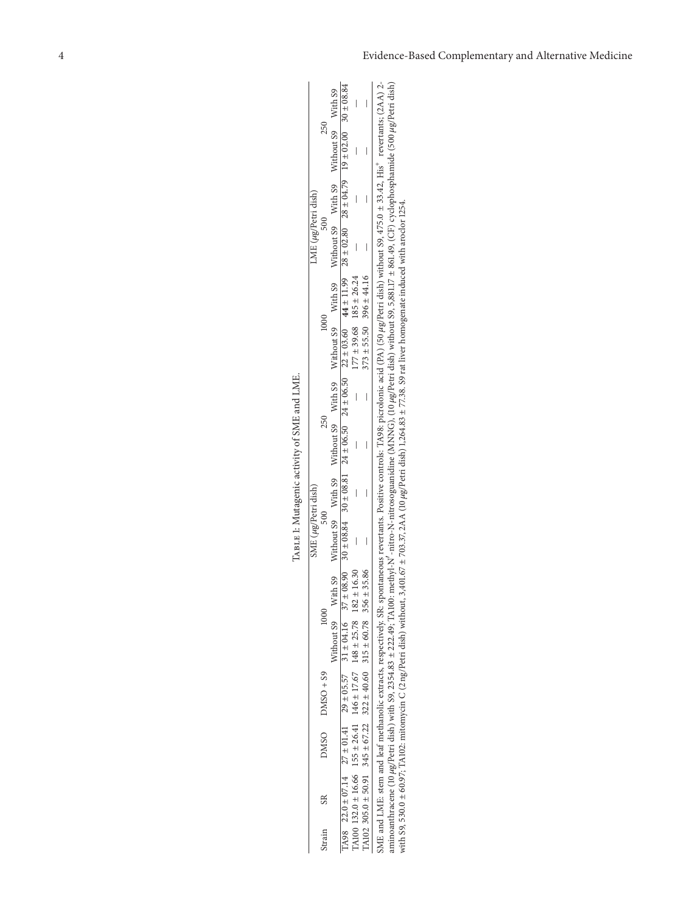|                     | 250         | Without S9 Without S9 With S9 Without S9 With S9 Without S9 With S9 With S9 Without S9 Without S9 With S9 | $77.036 \times 22.014$ $27.1404.16$ $27.57$ $31.404.16$ $37.408.90$ $30.408.84$ $30.408.84$ $30.408.84$ $30.408.84$ $30.408.84$ $30.408.84$ $30.408.84$ $30.408.84$ $30.408.84$ $30.408.84$ $30.408.84$ $30.408.84$ $30.408.84$ $3$ |                                                                     |                                                                     | aminoanthracene (10 µg/Petri dish) with S9, 2354.83 ± 222.49; TA100: methyl-N'-nitro-N-nitrosoguanidine (MNNG), (10 µg/Petri dish) without S9, 5,881.17 ± 861.49, (CF) cyclophosphamide (500 µg/Petri dish)<br>SME and LME: stem and leaf methanolic extracts, respectively. SR: spontaneous revertants. Positive controls: TA98: picrolonic acid (PA) (50 µg/Petri dish) without 99, 475.0 ± 33.42, His <sup>+</sup> revertants; (2AA) 2- |
|---------------------|-------------|-----------------------------------------------------------------------------------------------------------|-------------------------------------------------------------------------------------------------------------------------------------------------------------------------------------------------------------------------------------|---------------------------------------------------------------------|---------------------------------------------------------------------|--------------------------------------------------------------------------------------------------------------------------------------------------------------------------------------------------------------------------------------------------------------------------------------------------------------------------------------------------------------------------------------------------------------------------------------------|
| LME (µg/Petri dish) |             |                                                                                                           |                                                                                                                                                                                                                                     |                                                                     |                                                                     |                                                                                                                                                                                                                                                                                                                                                                                                                                            |
|                     |             |                                                                                                           |                                                                                                                                                                                                                                     |                                                                     | $373 \pm 55.50$ $396 \pm 44.16$                                     | with S9, 530.0 ± 60.97; TA102: mitomycin C (2 ng/Petri dish) without, 3,401.67 ± 703.37, 2AA (10 µg/Petri dish) 1,264.83 ± 77.38. S9 rat liver homogenate induced with anoclor 1254.                                                                                                                                                                                                                                                       |
|                     |             |                                                                                                           |                                                                                                                                                                                                                                     | $177 \pm 39.68$ 185 $\pm 26.24$                                     |                                                                     |                                                                                                                                                                                                                                                                                                                                                                                                                                            |
|                     |             |                                                                                                           |                                                                                                                                                                                                                                     | $\overline{a}$                                                      |                                                                     |                                                                                                                                                                                                                                                                                                                                                                                                                                            |
|                     |             |                                                                                                           |                                                                                                                                                                                                                                     |                                                                     |                                                                     |                                                                                                                                                                                                                                                                                                                                                                                                                                            |
|                     |             |                                                                                                           |                                                                                                                                                                                                                                     |                                                                     |                                                                     |                                                                                                                                                                                                                                                                                                                                                                                                                                            |
| SME (µg/Petri dish) |             |                                                                                                           |                                                                                                                                                                                                                                     |                                                                     |                                                                     |                                                                                                                                                                                                                                                                                                                                                                                                                                            |
|                     | 1000        |                                                                                                           |                                                                                                                                                                                                                                     |                                                                     |                                                                     |                                                                                                                                                                                                                                                                                                                                                                                                                                            |
|                     |             |                                                                                                           |                                                                                                                                                                                                                                     |                                                                     |                                                                     |                                                                                                                                                                                                                                                                                                                                                                                                                                            |
|                     | $DNSO + S9$ |                                                                                                           |                                                                                                                                                                                                                                     |                                                                     |                                                                     |                                                                                                                                                                                                                                                                                                                                                                                                                                            |
|                     | DMSO        |                                                                                                           |                                                                                                                                                                                                                                     | TA100 132.0 ± 16.66 155 ± 26.41 146 ± 17.67 148 ± 25.78 182 ± 16.30 | TA102 305.0 ± 50.91 345 ± 67.22 322 ± 40.60 315 ± 60.78 356 ± 35.86 |                                                                                                                                                                                                                                                                                                                                                                                                                                            |
|                     | SR          |                                                                                                           |                                                                                                                                                                                                                                     |                                                                     |                                                                     |                                                                                                                                                                                                                                                                                                                                                                                                                                            |
|                     | Strain      |                                                                                                           |                                                                                                                                                                                                                                     |                                                                     |                                                                     |                                                                                                                                                                                                                                                                                                                                                                                                                                            |

TABLE 1: Mutagenic activity of SME and LME. Table 1: Mutagenic activity of SME and LME.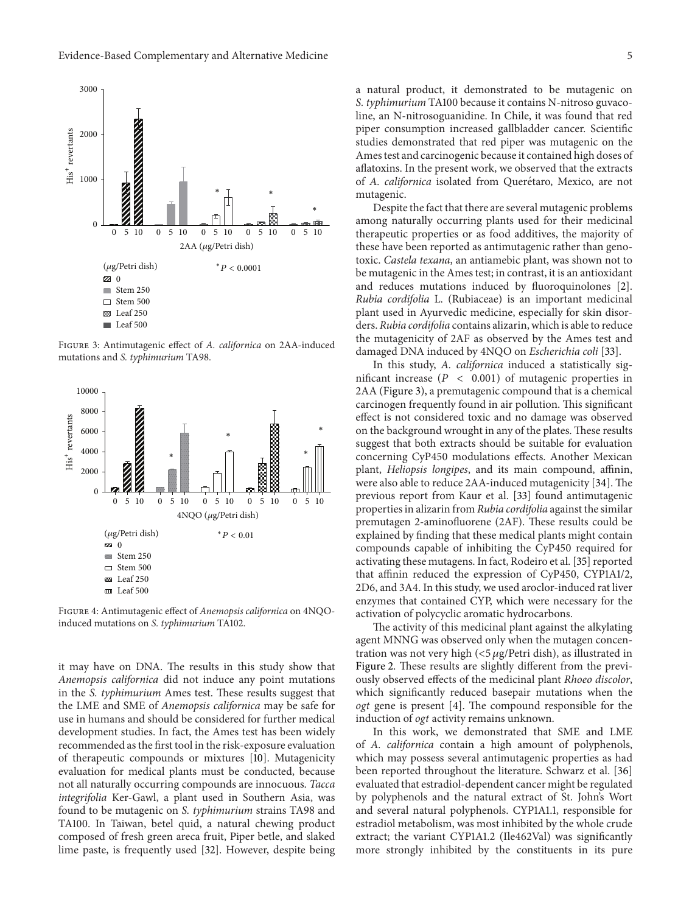

Figure 3: Antimutagenic effect of *A. californica* on 2AA-induced mutations and *S. typhimurium* TA98.



Figure 4: Antimutagenic effect of *Anemopsis californica* on 4NQOinduced mutations on *S. typhimurium* TA102.

it may have on DNA. The results in this study show that *Anemopsis californica* did not induce any point mutations in the *S. typhimurium* Ames test. These results suggest that the LME and SME of *Anemopsis californica* may be safe for use in humans and should be considered for further medical development studies. In fact, the Ames test has been widely recommended as the first tool in the risk-exposure evaluation of therapeutic compounds or mixtures [10]. Mutagenicity evaluation for medical plants must be conducted, because not all naturally occurring compounds are innocuous. *Tacca integrifolia* Ker-Gawl, a plant used in Southern Asia, was found to be mutagenic on *S. typhimurium* strains TA98 and TA100. In Taiwan, betel quid, a natural chewing product composed of fresh green areca fruit, Piper betle, and slaked lime paste, is frequently used [32]. However, despite being

a natural product, it demonstrated to be mutagenic on *S. typhimurium* TA100 because it contains N-nitroso guvacoline, an N-nitrosoguanidine. In Chile, it was found that red piper consumption increased gallbladder cancer. Scientific studies demonstrated that red piper was mutagenic on the Ames test and carcinogenic because it contained high doses of aflatoxins. In the present work, we observed that the extracts of *A. californica* isolated from Querétaro, Mexico, are not mutagenic.

Despite the fact that there are several mutagenic problems among naturally occurring plants used for their medicinal therapeutic properties or as food additives, the majority of these have been reported as antimutagenic rather than genotoxic. *Castela texana*, an antiamebic plant, was shown not to be mutagenic in the Ames test; in contrast, it is an antioxidant and reduces mutations induced by fluoroquinolones [2]. *Rubia cordifolia* L. (Rubiaceae) is an important medicinal plant used in Ayurvedic medicine, especially for skin disorders. *Rubia cordifolia* contains alizarin, which is able to reduce the mutagenicity of 2AF as observed by the Ames test and damaged DNA induced by 4NQO on *Escherichia coli* [33].

In this study, *A. californica* induced a statistically significant increase ( $P < 0.001$ ) of mutagenic properties in 2AA (Figure 3), a premutagenic compound that is a chemical carcinogen frequently found in air pollution. This significant effect is not considered toxic and no damage was observed on the background wrought in any of the plates. These results suggest that both extracts should be suitable for evaluation concerning CyP450 modulations effects. Another Mexican plant, *Heliopsis longipes*, and its main compound, affinin, were also able to reduce 2AA-induced mutagenicity [34]. The previous report from Kaur et al. [33] found antimutagenic properties in alizarin from *Rubia cordifolia* against the similar premutagen 2-aminofluorene (2AF). These results could be explained by finding that these medical plants might contain compounds capable of inhibiting the CyP450 required for activating these mutagens. In fact, Rodeiro et al. [35] reported that affinin reduced the expression of CyP450, CYP1A1/2, 2D6, and 3A4. In this study, we used aroclor-induced rat liver enzymes that contained CYP, which were necessary for the activation of polycyclic aromatic hydrocarbons.

The activity of this medicinal plant against the alkylating agent MNNG was observed only when the mutagen concentration was not very high  $\left($  <5  $\mu$ g/Petri dish), as illustrated in Figure 2. These results are slightly different from the previously observed effects of the medicinal plant *Rhoeo discolor*, which significantly reduced basepair mutations when the *ogt* gene is present [4]. The compound responsible for the induction of *ogt* activity remains unknown.

In this work, we demonstrated that SME and LME of *A. californica* contain a high amount of polyphenols, which may possess several antimutagenic properties as had been reported throughout the literature. Schwarz et al. [36] evaluated that estradiol-dependent cancer might be regulated by polyphenols and the natural extract of St. John's Wort and several natural polyphenols. CYP1A1.1, responsible for estradiol metabolism, was most inhibited by the whole crude extract; the variant CYP1A1.2 (Ile462Val) was significantly more strongly inhibited by the constituents in its pure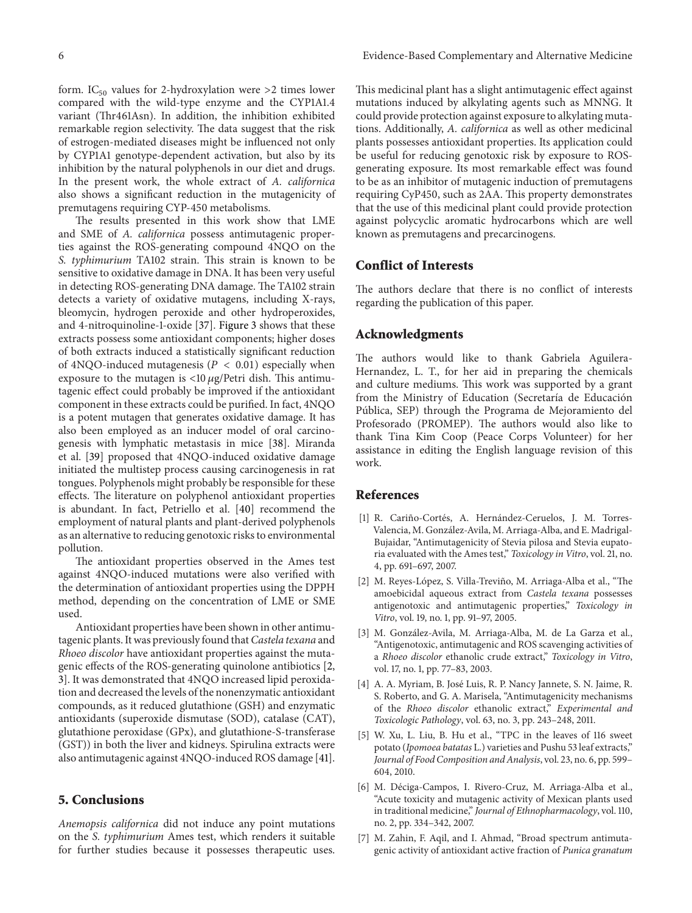form. IC<sub>50</sub> values for 2-hydroxylation were >2 times lower compared with the wild-type enzyme and the CYP1A1.4 variant (Thr461Asn). In addition, the inhibition exhibited remarkable region selectivity. The data suggest that the risk of estrogen-mediated diseases might be influenced not only by CYP1A1 genotype-dependent activation, but also by its inhibition by the natural polyphenols in our diet and drugs. In the present work, the whole extract of *A. californica* also shows a significant reduction in the mutagenicity of premutagens requiring CYP-450 metabolisms.

The results presented in this work show that LME and SME of *A. californica* possess antimutagenic properties against the ROS-generating compound 4NQO on the *S. typhimurium* TA102 strain. This strain is known to be sensitive to oxidative damage in DNA. It has been very useful in detecting ROS-generating DNA damage. The TA102 strain detects a variety of oxidative mutagens, including X-rays, bleomycin, hydrogen peroxide and other hydroperoxides, and 4-nitroquinoline-1-oxide [37]. Figure 3 shows that these extracts possess some antioxidant components; higher doses of both extracts induced a statistically significant reduction of 4NQO-induced mutagenesis ( $P < 0.01$ ) especially when exposure to the mutagen is  $\langle 10 \mu g /$ Petri dish. This antimutagenic effect could probably be improved if the antioxidant component in these extracts could be purified. In fact, 4NQO is a potent mutagen that generates oxidative damage. It has also been employed as an inducer model of oral carcinogenesis with lymphatic metastasis in mice [38]. Miranda et al. [39] proposed that 4NQO-induced oxidative damage initiated the multistep process causing carcinogenesis in rat tongues. Polyphenols might probably be responsible for these effects. The literature on polyphenol antioxidant properties is abundant. In fact, Petriello et al. [40] recommend the employment of natural plants and plant-derived polyphenols as an alternative to reducing genotoxic risks to environmental pollution.

The antioxidant properties observed in the Ames test against 4NQO-induced mutations were also verified with the determination of antioxidant properties using the DPPH method, depending on the concentration of LME or SME used.

Antioxidant properties have been shown in other antimutagenic plants. It was previously found that*Castela texana* and *Rhoeo discolor* have antioxidant properties against the mutagenic effects of the ROS-generating quinolone antibiotics [2, 3]. It was demonstrated that 4NQO increased lipid peroxidation and decreased the levels of the nonenzymatic antioxidant compounds, as it reduced glutathione (GSH) and enzymatic antioxidants (superoxide dismutase (SOD), catalase (CAT), glutathione peroxidase (GPx), and glutathione-S-transferase (GST)) in both the liver and kidneys. Spirulina extracts were also antimutagenic against 4NQO-induced ROS damage [41].

#### **5. Conclusions**

*Anemopsis californica* did not induce any point mutations on the *S. typhimurium* Ames test, which renders it suitable for further studies because it possesses therapeutic uses.

This medicinal plant has a slight antimutagenic effect against mutations induced by alkylating agents such as MNNG. It could provide protection against exposure to alkylating mutations. Additionally, *A. californica* as well as other medicinal plants possesses antioxidant properties. Its application could be useful for reducing genotoxic risk by exposure to ROSgenerating exposure. Its most remarkable effect was found to be as an inhibitor of mutagenic induction of premutagens requiring CyP450, such as 2AA. This property demonstrates that the use of this medicinal plant could provide protection against polycyclic aromatic hydrocarbons which are well known as premutagens and precarcinogens.

## **Conflict of Interests**

The authors declare that there is no conflict of interests regarding the publication of this paper.

### **Acknowledgments**

The authors would like to thank Gabriela Aguilera-Hernandez, L. T., for her aid in preparing the chemicals and culture mediums. This work was supported by a grant from the Ministry of Education (Secretaría de Educación Pública, SEP) through the Programa de Mejoramiento del Profesorado (PROMEP). The authors would also like to thank Tina Kim Coop (Peace Corps Volunteer) for her assistance in editing the English language revision of this work.

#### **References**

- [1] R. Cariño-Cortés, A. Hernández-Ceruelos, J. M. Torres-Valencia, M. Gonzalez-Avila, M. Arriaga-Alba, and E. Madrigal- ´ Bujaidar, "Antimutagenicity of Stevia pilosa and Stevia eupatoria evaluated with the Ames test," *Toxicology in Vitro*, vol. 21, no. 4, pp. 691–697, 2007.
- [2] M. Reyes-López, S. Villa-Treviño, M. Arriaga-Alba et al., "The amoebicidal aqueous extract from *Castela texana* possesses antigenotoxic and antimutagenic properties," *Toxicology in Vitro*, vol. 19, no. 1, pp. 91–97, 2005.
- [3] M. González-Avila, M. Arriaga-Alba, M. de La Garza et al., "Antigenotoxic, antimutagenic and ROS scavenging activities of a *Rhoeo discolor* ethanolic crude extract," *Toxicology in Vitro*, vol. 17, no. 1, pp. 77–83, 2003.
- [4] A. A. Myriam, B. José Luis, R. P. Nancy Jannete, S. N. Jaime, R. S. Roberto, and G. A. Marisela, "Antimutagenicity mechanisms of the *Rhoeo discolor* ethanolic extract," *Experimental and Toxicologic Pathology*, vol. 63, no. 3, pp. 243–248, 2011.
- [5] W. Xu, L. Liu, B. Hu et al., "TPC in the leaves of 116 sweet potato (*Ipomoea batatas* L.) varieties and Pushu 53 leaf extracts," *Journal of Food Composition and Analysis*, vol. 23, no. 6, pp. 599– 604, 2010.
- [6] M. Déciga-Campos, I. Rivero-Cruz, M. Arriaga-Alba et al., "Acute toxicity and mutagenic activity of Mexican plants used in traditional medicine," *Journal of Ethnopharmacology*, vol. 110, no. 2, pp. 334–342, 2007.
- [7] M. Zahin, F. Aqil, and I. Ahmad, "Broad spectrum antimutagenic activity of antioxidant active fraction of *Punica granatum*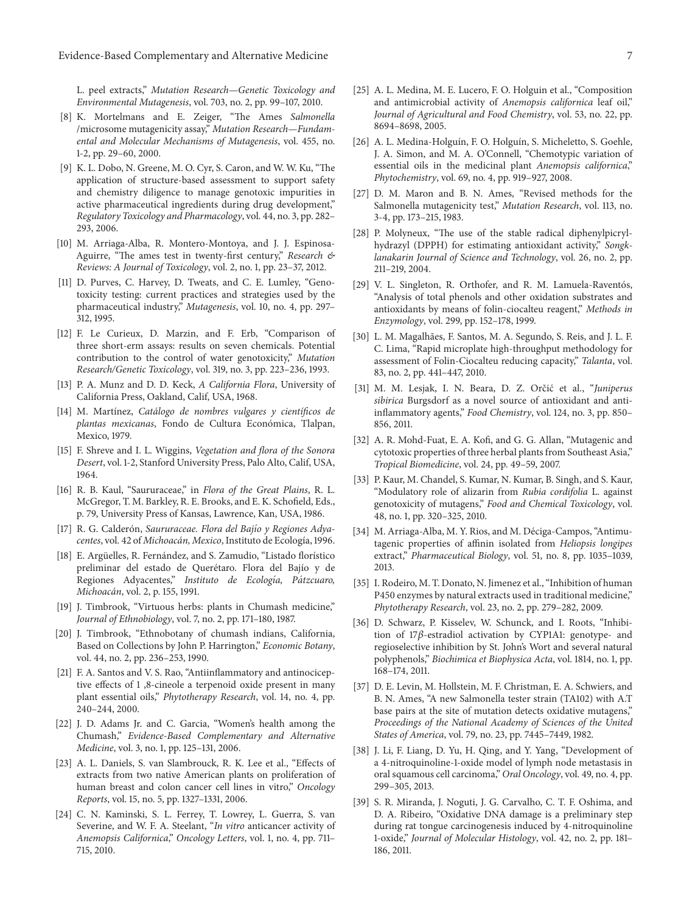L. peel extracts," *Mutation Research—Genetic Toxicology and Environmental Mutagenesis*, vol. 703, no. 2, pp. 99–107, 2010.

- [8] K. Mortelmans and E. Zeiger, "The Ames *Salmonella* /microsome mutagenicity assay," *Mutation Research—Fundamental and Molecular Mechanisms of Mutagenesis*, vol. 455, no. 1-2, pp. 29–60, 2000.
- [9] K. L. Dobo, N. Greene, M. O. Cyr, S. Caron, and W. W. Ku, "The application of structure-based assessment to support safety and chemistry diligence to manage genotoxic impurities in active pharmaceutical ingredients during drug development," *Regulatory Toxicology and Pharmacology*, vol. 44, no. 3, pp. 282– 293, 2006.
- [10] M. Arriaga-Alba, R. Montero-Montoya, and J. J. Espinosa-Aguirre, "The ames test in twenty-first century," *Research & Reviews: A Journal of Toxicology*, vol. 2, no. 1, pp. 23–37, 2012.
- [11] D. Purves, C. Harvey, D. Tweats, and C. E. Lumley, "Genotoxicity testing: current practices and strategies used by the pharmaceutical industry," *Mutagenesis*, vol. 10, no. 4, pp. 297– 312, 1995.
- [12] F. Le Curieux, D. Marzin, and F. Erb, "Comparison of three short-erm assays: results on seven chemicals. Potential contribution to the control of water genotoxicity," *Mutation Research/Genetic Toxicology*, vol. 319, no. 3, pp. 223–236, 1993.
- [13] P. A. Munz and D. D. Keck, *A California Flora*, University of California Press, Oakland, Calif, USA, 1968.
- [14] M. Martínez, *Catálogo de nombres vulgares y científicos de plantas mexicanas*, Fondo de Cultura Económica, Tlalpan, Mexico, 1979.
- [15] F. Shreve and I. L. Wiggins, *Vegetation and flora of the Sonora Desert*, vol. 1-2, Stanford University Press, Palo Alto, Calif, USA, 1964.
- [16] R. B. Kaul, "Saururaceae," in *Flora of the Great Plains*, R. L. McGregor, T. M. Barkley, R. E. Brooks, and E. K. Schofield, Eds., p. 79, University Press of Kansas, Lawrence, Kan, USA, 1986.
- [17] R. G. Calderón, Saururaceae. Flora del Bajío y Regiones Adya*centes*, vol. 42 of *Michoacan, Mexico ´* , Instituto de Ecolog´ıa, 1996.
- [18] E. Argüelles, R. Fernández, and S. Zamudio, "Listado florístico preliminar del estado de Querétaro. Flora del Bajío y de Regiones Adyacentes," *Instituto de Ecolog´ıa, Patzcuaro, ´ Michoacan´* , vol. 2, p. 155, 1991.
- [19] J. Timbrook, "Virtuous herbs: plants in Chumash medicine," *Journal of Ethnobiology*, vol. 7, no. 2, pp. 171–180, 1987.
- [20] J. Timbrook, "Ethnobotany of chumash indians, California, Based on Collections by John P. Harrington," *Economic Botany*, vol. 44, no. 2, pp. 236–253, 1990.
- [21] F. A. Santos and V. S. Rao, "Antiinflammatory and antinociceptive effects of 1 ,8-cineole a terpenoid oxide present in many plant essential oils," *Phytotherapy Research*, vol. 14, no. 4, pp. 240–244, 2000.
- [22] J. D. Adams Jr. and C. Garcia, "Women's health among the Chumash," *Evidence-Based Complementary and Alternative Medicine*, vol. 3, no. 1, pp. 125–131, 2006.
- [23] A. L. Daniels, S. van Slambrouck, R. K. Lee et al., "Effects of extracts from two native American plants on proliferation of human breast and colon cancer cell lines in vitro," *Oncology Reports*, vol. 15, no. 5, pp. 1327–1331, 2006.
- [24] C. N. Kaminski, S. L. Ferrey, T. Lowrey, L. Guerra, S. van Severine, and W. F. A. Steelant, "*In vitro* anticancer activity of *Anemopsis Californica*," *Oncology Letters*, vol. 1, no. 4, pp. 711– 715, 2010.
- [25] A. L. Medina, M. E. Lucero, F. O. Holguin et al., "Composition and antimicrobial activity of *Anemopsis californica* leaf oil," *Journal of Agricultural and Food Chemistry*, vol. 53, no. 22, pp. 8694–8698, 2005.
- [26] A. L. Medina-Holguín, F. O. Holguín, S. Micheletto, S. Goehle, J. A. Simon, and M. A. O'Connell, "Chemotypic variation of essential oils in the medicinal plant *Anemopsis californica*," *Phytochemistry*, vol. 69, no. 4, pp. 919–927, 2008.
- [27] D. M. Maron and B. N. Ames, "Revised methods for the Salmonella mutagenicity test," *Mutation Research*, vol. 113, no. 3-4, pp. 173–215, 1983.
- [28] P. Molyneux, "The use of the stable radical diphenylpicrylhydrazyl (DPPH) for estimating antioxidant activity," *Songklanakarin Journal of Science and Technology*, vol. 26, no. 2, pp. 211–219, 2004.
- [29] V. L. Singleton, R. Orthofer, and R. M. Lamuela-Raventós, "Analysis of total phenols and other oxidation substrates and antioxidants by means of folin-ciocalteu reagent," *Methods in Enzymology*, vol. 299, pp. 152–178, 1999.
- [30] L. M. Magalhães, F. Santos, M. A. Segundo, S. Reis, and J. L. F. C. Lima, "Rapid microplate high-throughput methodology for assessment of Folin-Ciocalteu reducing capacity," *Talanta*, vol. 83, no. 2, pp. 441–447, 2010.
- [31] M. M. Lesjak, I. N. Beara, D. Z. Orčić et al., "Juniperus *sibirica* Burgsdorf as a novel source of antioxidant and antiinflammatory agents," *Food Chemistry*, vol. 124, no. 3, pp. 850– 856, 2011.
- [32] A. R. Mohd-Fuat, E. A. Kofi, and G. G. Allan, "Mutagenic and cytotoxic properties of three herbal plants from Southeast Asia," *Tropical Biomedicine*, vol. 24, pp. 49–59, 2007.
- [33] P. Kaur, M. Chandel, S. Kumar, N. Kumar, B. Singh, and S. Kaur, "Modulatory role of alizarin from *Rubia cordifolia* L. against genotoxicity of mutagens," *Food and Chemical Toxicology*, vol. 48, no. 1, pp. 320–325, 2010.
- [34] M. Arriaga-Alba, M. Y. Rios, and M. Déciga-Campos, "Antimutagenic properties of affinin isolated from *Heliopsis longipes* extract," *Pharmaceutical Biology*, vol. 51, no. 8, pp. 1035–1039, 2013.
- [35] I. Rodeiro, M. T. Donato, N. Jimenez et al., "Inhibition of human P450 enzymes by natural extracts used in traditional medicine," *Phytotherapy Research*, vol. 23, no. 2, pp. 279–282, 2009.
- [36] D. Schwarz, P. Kisselev, W. Schunck, and I. Roots, "Inhibition of 17 $\beta$ -estradiol activation by CYP1A1: genotype- and regioselective inhibition by St. John's Wort and several natural polyphenols," *Biochimica et Biophysica Acta*, vol. 1814, no. 1, pp. 168–174, 2011.
- [37] D. E. Levin, M. Hollstein, M. F. Christman, E. A. Schwiers, and B. N. Ames, "A new Salmonella tester strain (TA102) with A.T base pairs at the site of mutation detects oxidative mutagens," *Proceedings of the National Academy of Sciences of the United States of America*, vol. 79, no. 23, pp. 7445–7449, 1982.
- [38] J. Li, F. Liang, D. Yu, H. Qing, and Y. Yang, "Development of a 4-nitroquinoline-1-oxide model of lymph node metastasis in oral squamous cell carcinoma," *Oral Oncology*, vol. 49, no. 4, pp. 299–305, 2013.
- [39] S. R. Miranda, J. Noguti, J. G. Carvalho, C. T. F. Oshima, and D. A. Ribeiro, "Oxidative DNA damage is a preliminary step during rat tongue carcinogenesis induced by 4-nitroquinoline 1-oxide," *Journal of Molecular Histology*, vol. 42, no. 2, pp. 181– 186, 2011.